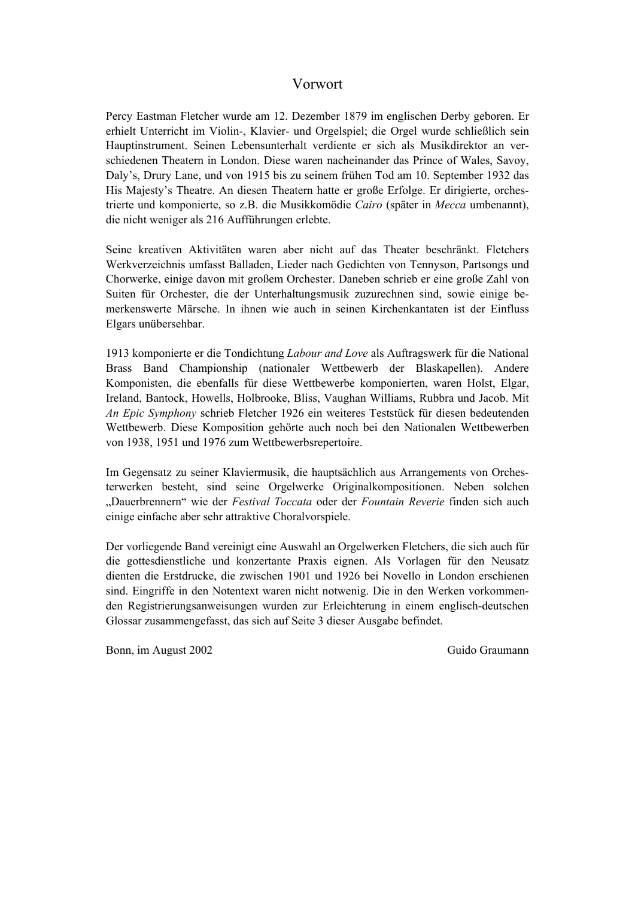#### Vorwort

Percy Eastman Fletcher wurde am 12. Dezember 1879 im englischen Derby geboren. Er erhielt Unterricht im Violin-, Klavier- und Orgelspiel; die Orgel wurde schließlich sein Hauptinstrument. Seinen Lebensunterhalt verdiente er sich als Musikdirektor an verschiedenen Theatern in London. Diese waren nacheinander das Prince of Wales, Savoy, Daly's, Drury Lane, und von 1915 bis zu seinem frühen Tod am 10. September 1932 das His Majesty's Theatre. An diesen Theatern hatte er große Erfolge. Er dirigierte, orchestrierte und komponierte, so z.B. die Musikkomödie *Cairo* (später in *Mecca* umbenannt), die nicht weniger als 216 Aufführungen erlebte.

Seine kreativen Aktivitäten waren aber nicht auf das Theater beschränkt. Fletchers Werkverzeichnis umfasst Balladen, Lieder nach Gedichten von Tennyson, Partsongs und Chorwerke, einige davon mit großem Orchester. Daneben schrieb er eine große Zahl von Suiten für Orchester, die der Unterhaltungsmusik zuzurechnen sind, sowie einige bemerkenswerte Märsche. In ihnen wie auch in seinen Kirchenkantaten ist der Einfluss Elgars unübersehbar.

1913 komponierte er die Tondichtung *Labour and Love* als Auftragswerk für die National Brass Band Championship (nationaler Wettbewerb der Blaskapellen). Andere Komponisten, die ebenfalls für diese Wettbewerbe komponierten, waren Holst, Elgar, Ireland, Bantock, Howells, Holbrooke, Bliss, Vaughan Williams, Rubbra und Jacob. Mit *An Epic Symphony* schrieb Fletcher 1926 ein weiteres Teststück für diesen bedeutenden Wettbewerb. Diese Komposition gehörte auch noch bei den Nationalen Wettbewerben von 1938, 1951 und 1976 zum Wettbewerbsrepertoire.

Im Gegensatz zu seiner Klaviermusik, die hauptsächlich aus Arrangements von Orchesterwerken besteht, sind seine Orgelwerke Originalkompositionen. Neben solchen "Dauerbrennern" wie der *Festival Toccata* oder der *Fountain Reverie* finden sich auch einige einfache aber sehr attraktive Choralvorspiele.

Der vorliegende Band vereinigt eine Auswahl an Orgelwerken Fletchers, die sich auch für die gottesdienstliche und konzertante Praxis eignen. Als Vorlagen für den Neusatz dienten die Erstdrucke, die zwischen 1901 und 1926 bei Novello in London erschienen sind. Eingriffe in den Notentext waren nicht notwenig. Die in den Werken vorkommenden Registrierungsanweisungen wurden zur Erleichterung in einem englisch-deutschen Glossar zusammengefasst, das sich auf Seite 3 dieser Ausgabe befindet.

Bonn, im August 2002 **Guido Graumann**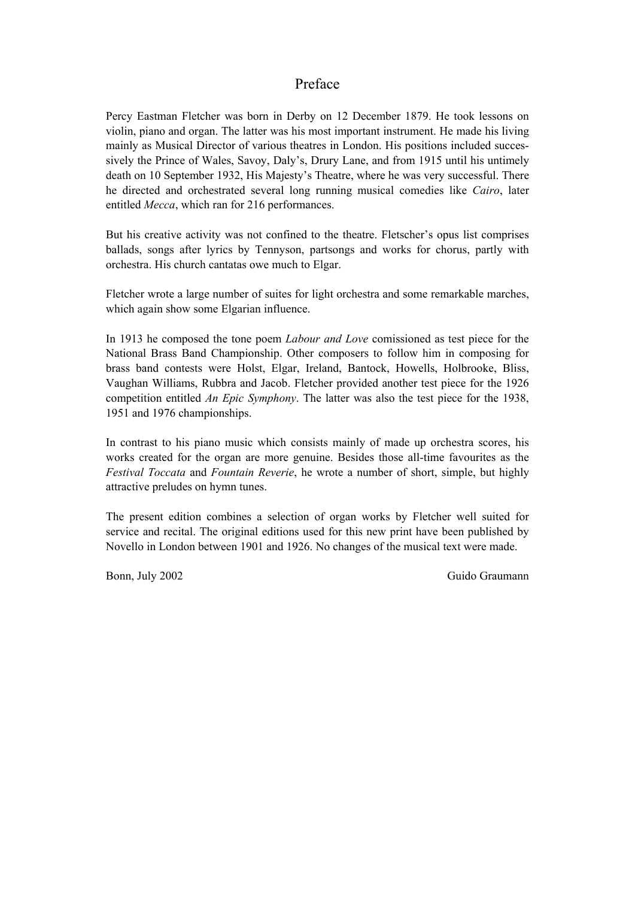#### Preface

Percy Eastman Fletcher was born in Derby on 12 December 1879. He took lessons on violin, piano and organ. The latter was his most important instrument. He made his living mainly as Musical Director of various theatres in London. His positions included successively the Prince of Wales, Savoy, Daly's, Drury Lane, and from 1915 until his untimely death on 10 September 1932, His Majesty's Theatre, where he was very successful. There he directed and orchestrated several long running musical comedies like *Cairo*, later entitled *Mecca*, which ran for 216 performances.

But his creative activity was not confined to the theatre. Fletscher's opus list comprises ballads, songs after lyrics by Tennyson, partsongs and works for chorus, partly with orchestra. His church cantatas owe much to Elgar.

Fletcher wrote a large number of suites for light orchestra and some remarkable marches, which again show some Elgarian influence.

In 1913 he composed the tone poem *Labour and Love* comissioned as test piece for the National Brass Band Championship. Other composers to follow him in composing for brass band contests were Holst, Elgar, Ireland, Bantock, Howells, Holbrooke, Bliss, Vaughan Williams, Rubbra and Jacob. Fletcher provided another test piece for the 1926 competition entitled *An Epic Symphony*. The latter was also the test piece for the 1938, 1951 and 1976 championships.

In contrast to his piano music which consists mainly of made up orchestra scores, his works created for the organ are more genuine. Besides those all-time favourites as the *Festival Toccata* and *Fountain Reverie*, he wrote a number of short, simple, but highly attractive preludes on hymn tunes.

The present edition combines a selection of organ works by Fletcher well suited for service and recital. The original editions used for this new print have been published by Novello in London between 1901 and 1926. No changes of the musical text were made.

Bonn, July 2002 Guido Graumann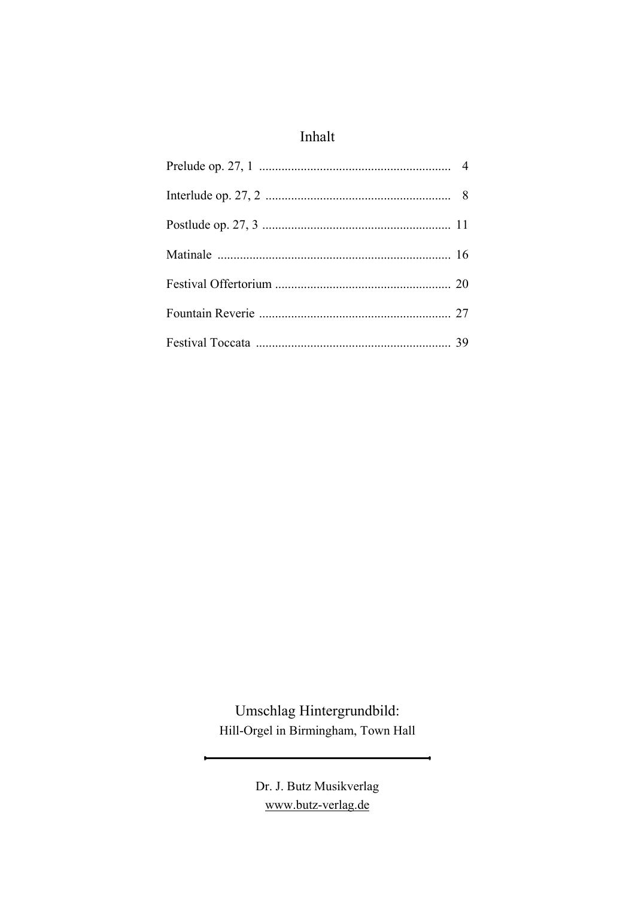#### Inhalt

Umschlag Hintergrundbild: Hill-Orgel in Birmingham, Town Hall

×

÷.

Dr. J. Butz Musikverlag www.butz-verlag.de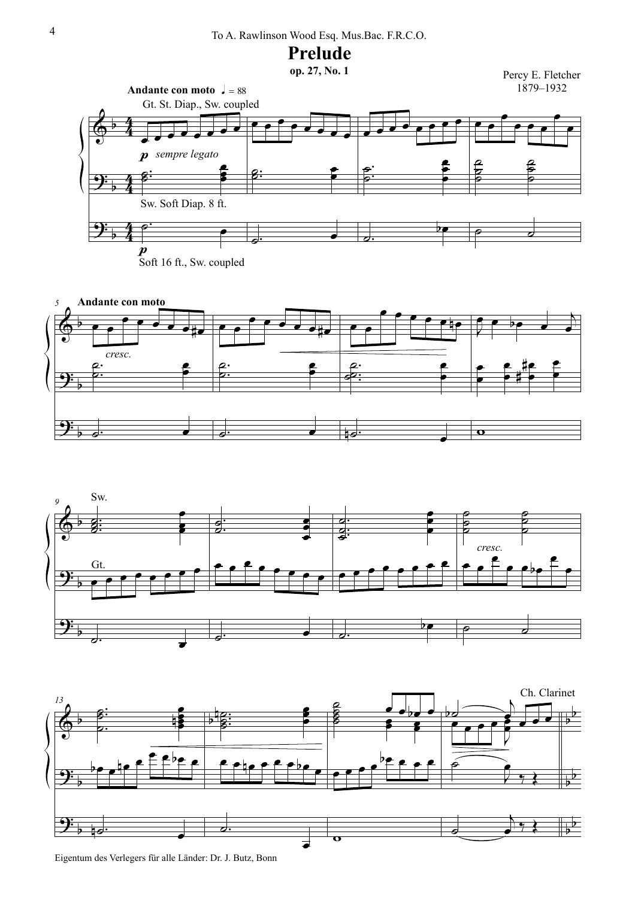











Eigentum des Verlegers für alle Länder: Dr. J. Butz, Bonn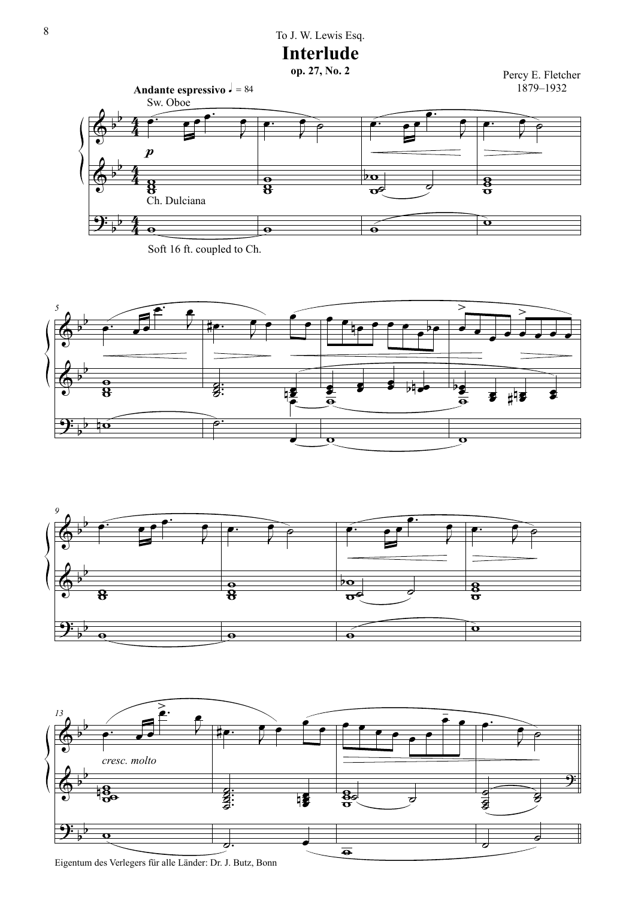### 8 To J. W. Lewis Esq.





Soft 16 ft. coupled to Ch.







Eigentum des Verlegers für alle Länder: Dr. J. Butz, Bonn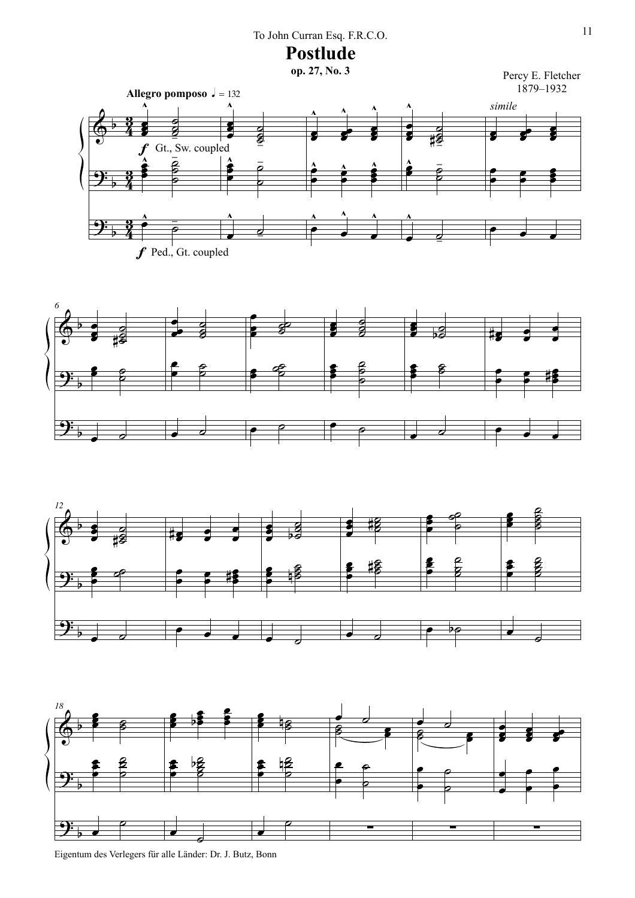### 11 To John Curran Esq. F.R.C.O.

Postlude<br><sub>op. 27, No. 3</sub>









Eigentum des Verlegers für alle Länder: Dr. J. Butz, Bonn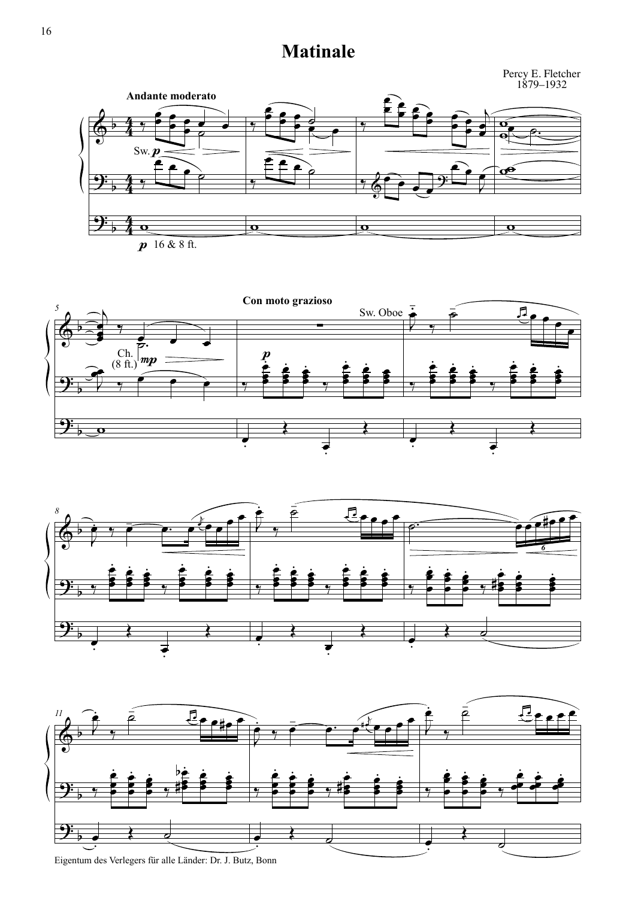## **Matinale**

Percy E. Fletcher 1879–1932









Eigentum des Verlegers für alle Länder: Dr. J. Butz, Bonn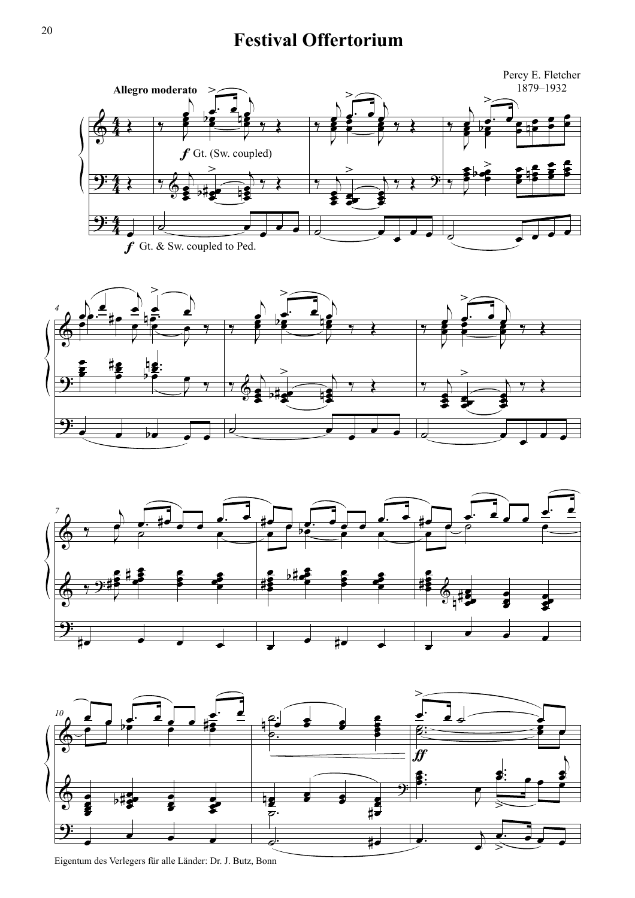# <sup>20</sup> **Festival Offertorium**









Eigentum des Verlegers für alle Länder: Dr. J. Butz, Bonn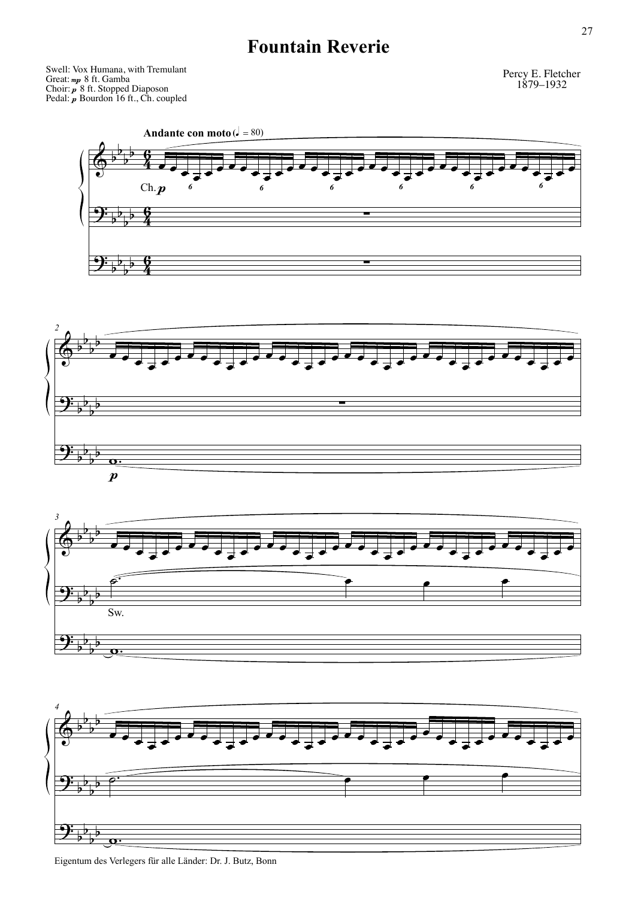# **Fountain Reverie**

Swell: Vox Humana, with Tremulant Great: mp 8 ft. Gamba Choir: p 8 ft. Stopped Diaposon Pedal:  $\boldsymbol{p}$  Bourdon 16 ft., Ch. coupled  $_{mp}$ p p

Percy E. Fletcher 1879–1932